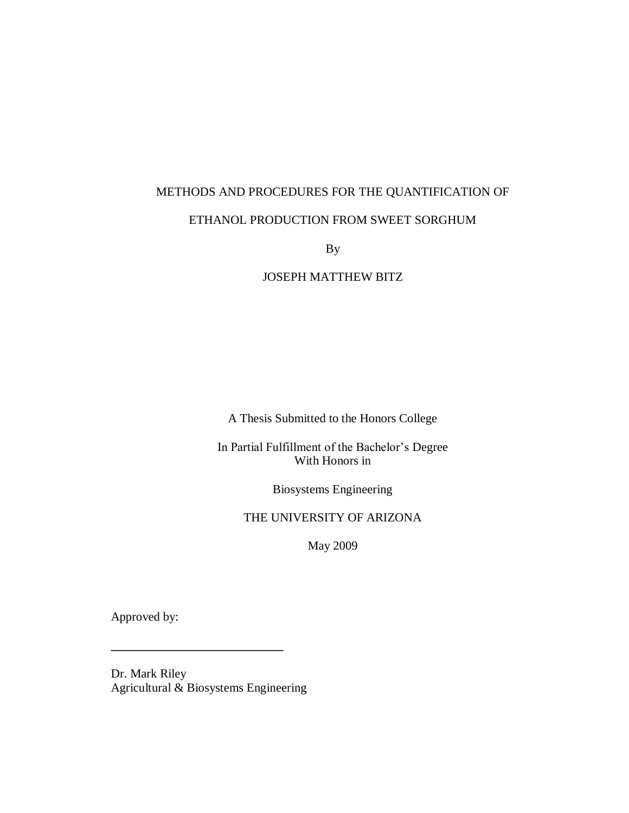# METHODS AND PROCEDURES FOR THE QUANTIFICATION OF

## ETHANOL PRODUCTION FROM SWEET SORGHUM

By

JOSEPH MATTHEW BITZ

A Thesis Submitted to the Honors College

In Partial Fulfillment of the Bachelor's Degree With Honors in

Biosystems Engineering

#### THE UNIVERSITY OF ARIZONA

May 2009

Approved by:

Dr. Mark Riley Agricultural & Biosystems Engineering

**\_\_\_\_\_\_\_\_\_\_\_\_\_\_\_\_\_\_\_\_\_\_\_\_\_\_\_\_**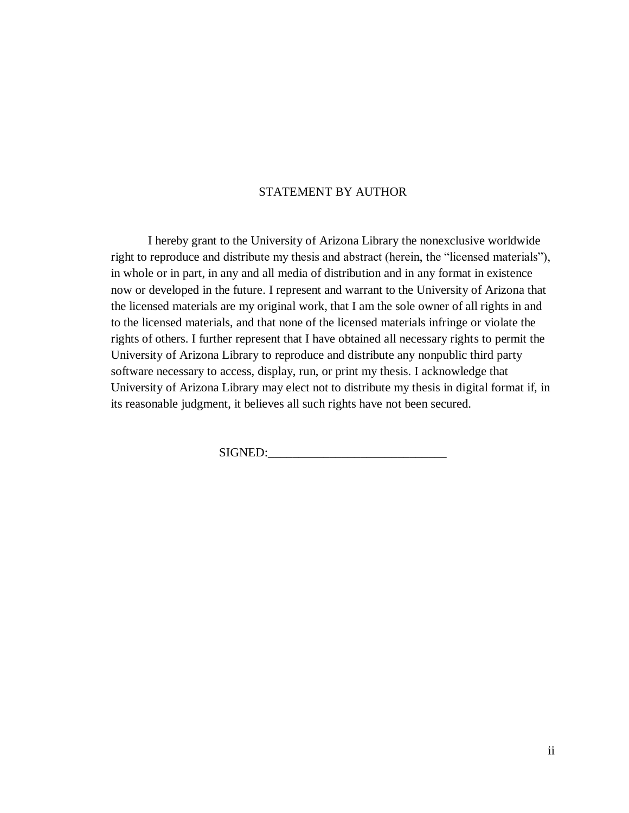#### STATEMENT BY AUTHOR

I hereby grant to the University of Arizona Library the nonexclusive worldwide right to reproduce and distribute my thesis and abstract (herein, the "licensed materials"), in whole or in part, in any and all media of distribution and in any format in existence now or developed in the future. I represent and warrant to the University of Arizona that the licensed materials are my original work, that I am the sole owner of all rights in and to the licensed materials, and that none of the licensed materials infringe or violate the rights of others. I further represent that I have obtained all necessary rights to permit the University of Arizona Library to reproduce and distribute any nonpublic third party software necessary to access, display, run, or print my thesis. I acknowledge that University of Arizona Library may elect not to distribute my thesis in digital format if, in its reasonable judgment, it believes all such rights have not been secured.

SIGNED: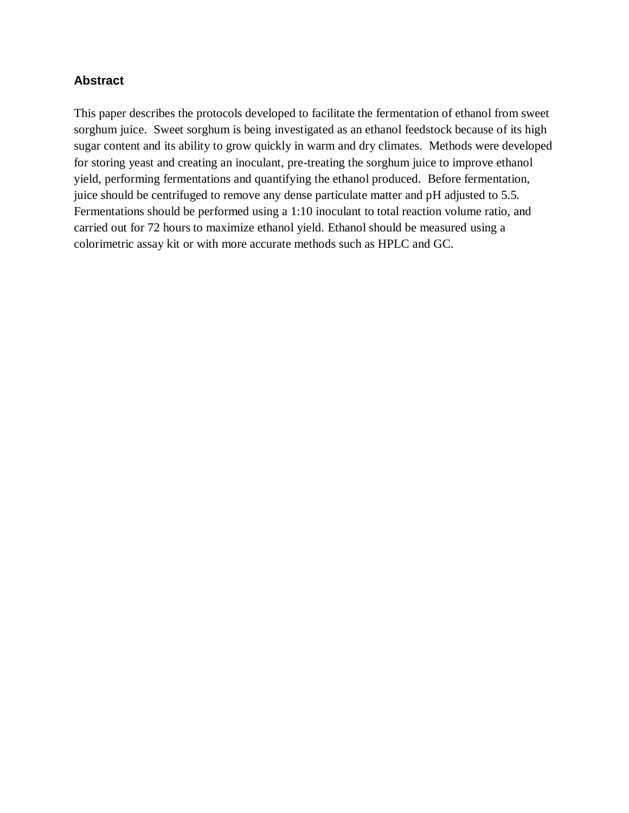#### **Abstract**

This paper describes the protocols developed to facilitate the fermentation of ethanol from sweet sorghum juice. Sweet sorghum is being investigated as an ethanol feedstock because of its high sugar content and its ability to grow quickly in warm and dry climates. Methods were developed for storing yeast and creating an inoculant, pre-treating the sorghum juice to improve ethanol yield, performing fermentations and quantifying the ethanol produced. Before fermentation, juice should be centrifuged to remove any dense particulate matter and pH adjusted to 5.5. Fermentations should be performed using a 1:10 inoculant to total reaction volume ratio, and carried out for 72 hours to maximize ethanol yield. Ethanol should be measured using a colorimetric assay kit or with more accurate methods such as HPLC and GC.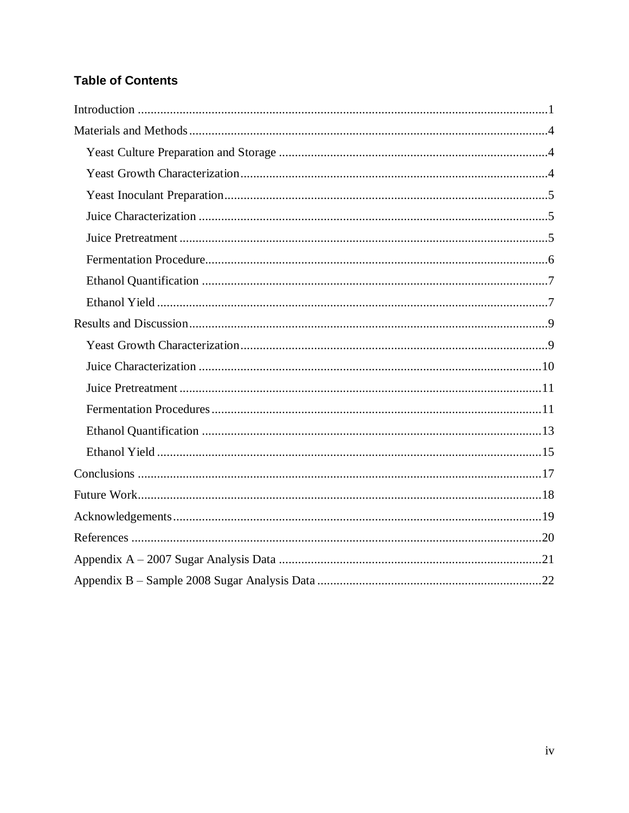## **Table of Contents**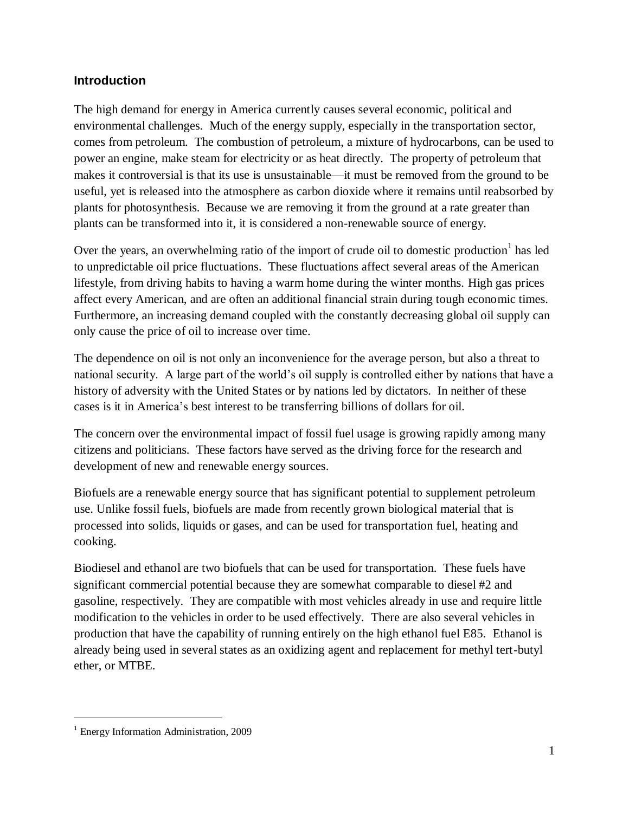## <span id="page-4-0"></span>**Introduction**

The high demand for energy in America currently causes several economic, political and environmental challenges. Much of the energy supply, especially in the transportation sector, comes from petroleum. The combustion of petroleum, a mixture of hydrocarbons, can be used to power an engine, make steam for electricity or as heat directly. The property of petroleum that makes it controversial is that its use is unsustainable—it must be removed from the ground to be useful, yet is released into the atmosphere as carbon dioxide where it remains until reabsorbed by plants for photosynthesis. Because we are removing it from the ground at a rate greater than plants can be transformed into it, it is considered a non-renewable source of energy.

Over the years, an overwhelming ratio of the import of crude oil to domestic production  $1$  has led to unpredictable oil price fluctuations. These fluctuations affect several areas of the American lifestyle, from driving habits to having a warm home during the winter months. High gas prices affect every American, and are often an additional financial strain during tough economic times. Furthermore, an increasing demand coupled with the constantly decreasing global oil supply can only cause the price of oil to increase over time.

The dependence on oil is not only an inconvenience for the average person, but also a threat to national security. A large part of the world's oil supply is controlled either by nations that have a history of adversity with the United States or by nations led by dictators. In neither of these cases is it in America's best interest to be transferring billions of dollars for oil.

The concern over the environmental impact of fossil fuel usage is growing rapidly among many citizens and politicians. These factors have served as the driving force for the research and development of new and renewable energy sources.

Biofuels are a renewable energy source that has significant potential to supplement petroleum use. Unlike fossil fuels, biofuels are made from recently grown biological material that is processed into solids, liquids or gases, and can be used for transportation fuel, heating and cooking.

Biodiesel and ethanol are two biofuels that can be used for transportation. These fuels have significant commercial potential because they are somewhat comparable to diesel #2 and gasoline, respectively. They are compatible with most vehicles already in use and require little modification to the vehicles in order to be used effectively. There are also several vehicles in production that have the capability of running entirely on the high ethanol fuel E85. Ethanol is already being used in several states as an oxidizing agent and replacement for methyl tert-butyl ether, or MTBE.

 $\overline{a}$ 

<sup>&</sup>lt;sup>1</sup> Energy Information Administration, 2009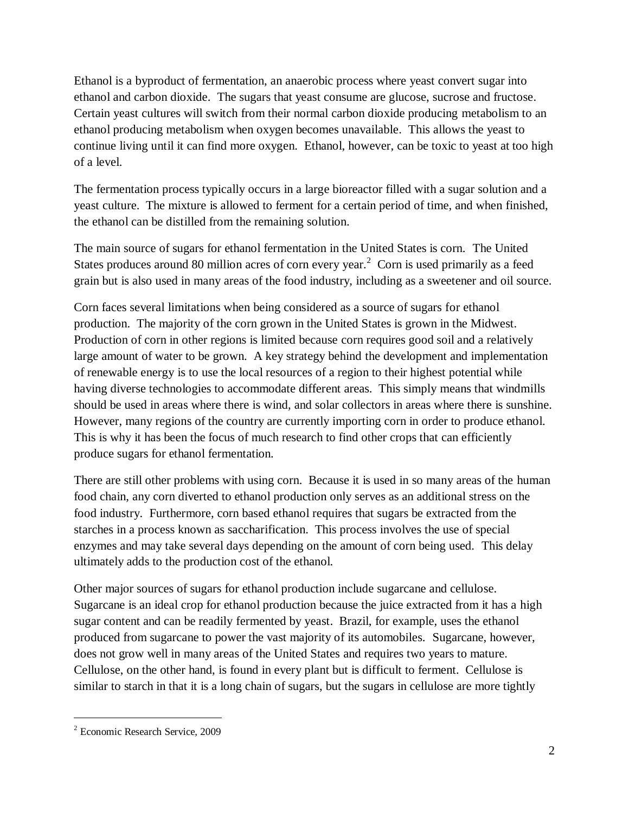Ethanol is a byproduct of fermentation, an anaerobic process where yeast convert sugar into ethanol and carbon dioxide. The sugars that yeast consume are glucose, sucrose and fructose. Certain yeast cultures will switch from their normal carbon dioxide producing metabolism to an ethanol producing metabolism when oxygen becomes unavailable. This allows the yeast to continue living until it can find more oxygen. Ethanol, however, can be toxic to yeast at too high of a level.

The fermentation process typically occurs in a large bioreactor filled with a sugar solution and a yeast culture. The mixture is allowed to ferment for a certain period of time, and when finished, the ethanol can be distilled from the remaining solution.

The main source of sugars for ethanol fermentation in the United States is corn. The United States produces around 80 million acres of corn every year.<sup>2</sup> Corn is used primarily as a feed grain but is also used in many areas of the food industry, including as a sweetener and oil source.

Corn faces several limitations when being considered as a source of sugars for ethanol production. The majority of the corn grown in the United States is grown in the Midwest. Production of corn in other regions is limited because corn requires good soil and a relatively large amount of water to be grown. A key strategy behind the development and implementation of renewable energy is to use the local resources of a region to their highest potential while having diverse technologies to accommodate different areas. This simply means that windmills should be used in areas where there is wind, and solar collectors in areas where there is sunshine. However, many regions of the country are currently importing corn in order to produce ethanol. This is why it has been the focus of much research to find other crops that can efficiently produce sugars for ethanol fermentation.

There are still other problems with using corn. Because it is used in so many areas of the human food chain, any corn diverted to ethanol production only serves as an additional stress on the food industry. Furthermore, corn based ethanol requires that sugars be extracted from the starches in a process known as saccharification. This process involves the use of special enzymes and may take several days depending on the amount of corn being used. This delay ultimately adds to the production cost of the ethanol.

Other major sources of sugars for ethanol production include sugarcane and cellulose. Sugarcane is an ideal crop for ethanol production because the juice extracted from it has a high sugar content and can be readily fermented by yeast. Brazil, for example, uses the ethanol produced from sugarcane to power the vast majority of its automobiles. Sugarcane, however, does not grow well in many areas of the United States and requires two years to mature. Cellulose, on the other hand, is found in every plant but is difficult to ferment. Cellulose is similar to starch in that it is a long chain of sugars, but the sugars in cellulose are more tightly

 $\overline{a}$ 

<sup>2</sup> Economic Research Service, 2009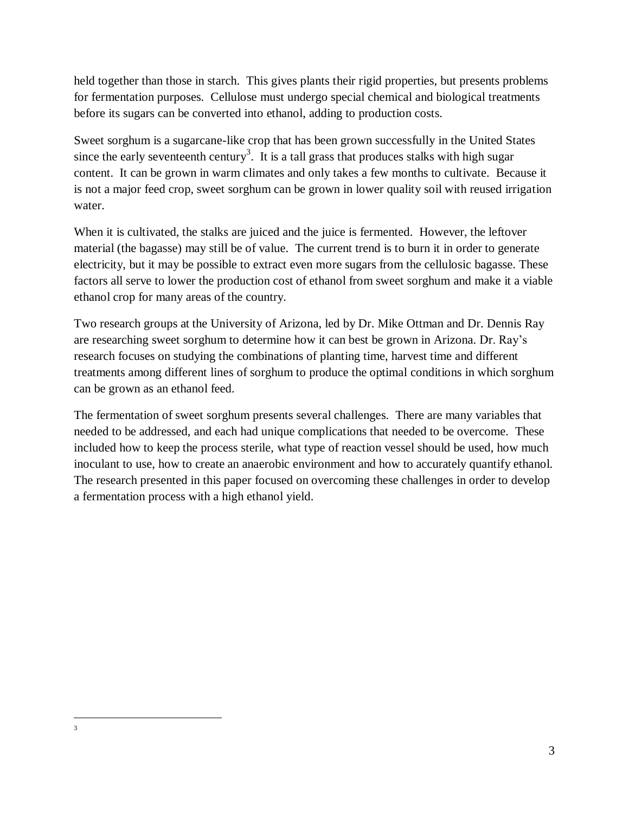held together than those in starch. This gives plants their rigid properties, but presents problems for fermentation purposes. Cellulose must undergo special chemical and biological treatments before its sugars can be converted into ethanol, adding to production costs.

Sweet sorghum is a sugarcane-like crop that has been grown successfully in the United States since the early seventeenth century<sup>3</sup>. It is a tall grass that produces stalks with high sugar content. It can be grown in warm climates and only takes a few months to cultivate. Because it is not a major feed crop, sweet sorghum can be grown in lower quality soil with reused irrigation water.

When it is cultivated, the stalks are juiced and the juice is fermented. However, the leftover material (the bagasse) may still be of value. The current trend is to burn it in order to generate electricity, but it may be possible to extract even more sugars from the cellulosic bagasse. These factors all serve to lower the production cost of ethanol from sweet sorghum and make it a viable ethanol crop for many areas of the country.

Two research groups at the University of Arizona, led by Dr. Mike Ottman and Dr. Dennis Ray are researching sweet sorghum to determine how it can best be grown in Arizona. Dr. Ray's research focuses on studying the combinations of planting time, harvest time and different treatments among different lines of sorghum to produce the optimal conditions in which sorghum can be grown as an ethanol feed.

The fermentation of sweet sorghum presents several challenges. There are many variables that needed to be addressed, and each had unique complications that needed to be overcome. These included how to keep the process sterile, what type of reaction vessel should be used, how much inoculant to use, how to create an anaerobic environment and how to accurately quantify ethanol. The research presented in this paper focused on overcoming these challenges in order to develop a fermentation process with a high ethanol yield.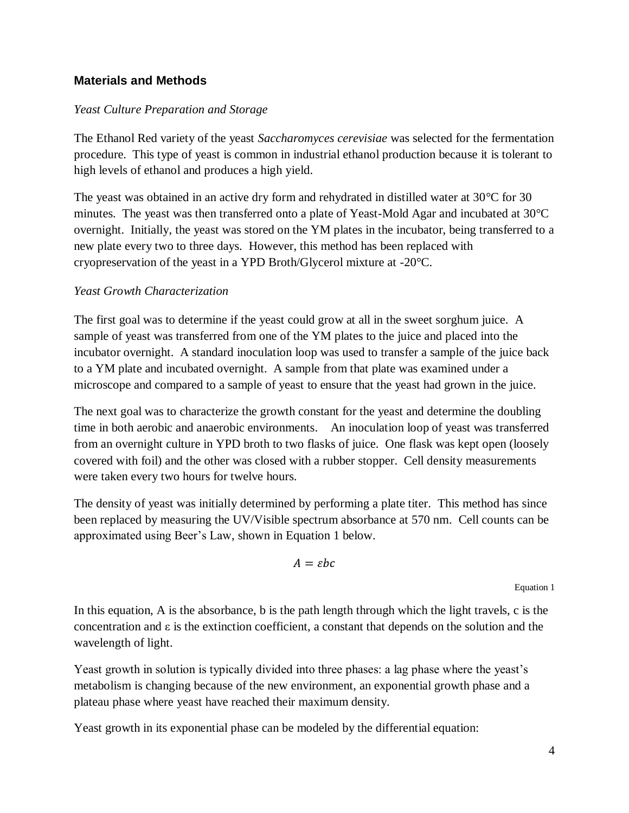## <span id="page-7-0"></span>**Materials and Methods**

#### <span id="page-7-1"></span>*Yeast Culture Preparation and Storage*

The Ethanol Red variety of the yeast *Saccharomyces cerevisiae* was selected for the fermentation procedure. This type of yeast is common in industrial ethanol production because it is tolerant to high levels of ethanol and produces a high yield.

The yeast was obtained in an active dry form and rehydrated in distilled water at 30°C for 30 minutes. The yeast was then transferred onto a plate of Yeast-Mold Agar and incubated at 30°C overnight. Initially, the yeast was stored on the YM plates in the incubator, being transferred to a new plate every two to three days. However, this method has been replaced with cryopreservation of the yeast in a YPD Broth/Glycerol mixture at -20°C.

#### <span id="page-7-2"></span>*Yeast Growth Characterization*

The first goal was to determine if the yeast could grow at all in the sweet sorghum juice. A sample of yeast was transferred from one of the YM plates to the juice and placed into the incubator overnight. A standard inoculation loop was used to transfer a sample of the juice back to a YM plate and incubated overnight. A sample from that plate was examined under a microscope and compared to a sample of yeast to ensure that the yeast had grown in the juice.

The next goal was to characterize the growth constant for the yeast and determine the doubling time in both aerobic and anaerobic environments. An inoculation loop of yeast was transferred from an overnight culture in YPD broth to two flasks of juice. One flask was kept open (loosely covered with foil) and the other was closed with a rubber stopper. Cell density measurements were taken every two hours for twelve hours.

The density of yeast was initially determined by performing a plate titer. This method has since been replaced by measuring the UV/Visible spectrum absorbance at 570 nm. Cell counts can be approximated using Beer's Law, shown in [Equation 1](#page-7-3) below.

$$
A = \varepsilon bc
$$

<span id="page-7-3"></span>Equation 1

In this equation, A is the absorbance, b is the path length through which the light travels, c is the concentration and ε is the extinction coefficient, a constant that depends on the solution and the wavelength of light.

Yeast growth in solution is typically divided into three phases: a lag phase where the yeast's metabolism is changing because of the new environment, an exponential growth phase and a plateau phase where yeast have reached their maximum density.

Yeast growth in its exponential phase can be modeled by the differential equation: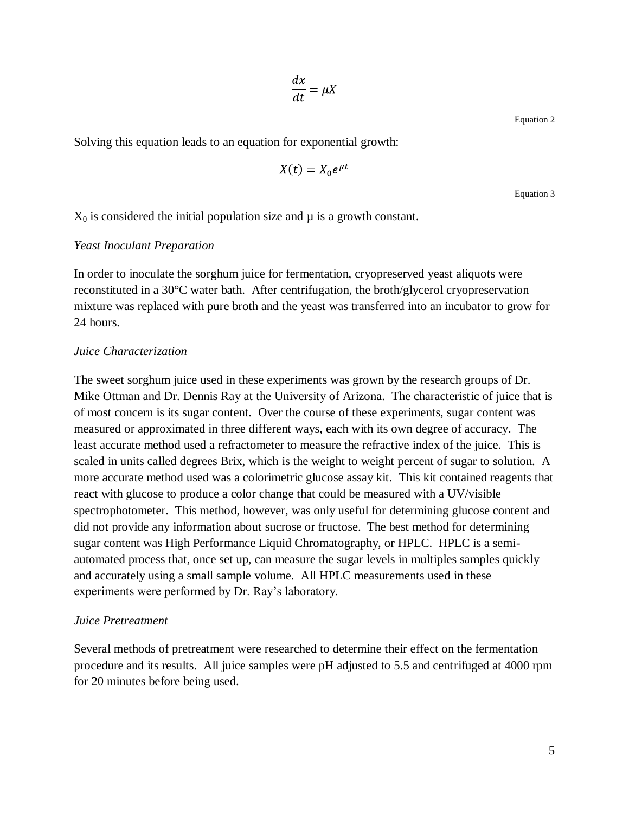$$
\frac{dx}{dt} = \mu \lambda
$$

Equation 2

Solving this equation leads to an equation for exponential growth:

$$
X(t) = X_0 e^{\mu t}
$$

Equation 3

<span id="page-8-3"></span> $X_0$  is considered the initial population size and  $\mu$  is a growth constant.

#### <span id="page-8-0"></span>*Yeast Inoculant Preparation*

In order to inoculate the sorghum juice for fermentation, cryopreserved yeast aliquots were reconstituted in a 30°C water bath. After centrifugation, the broth/glycerol cryopreservation mixture was replaced with pure broth and the yeast was transferred into an incubator to grow for 24 hours.

#### <span id="page-8-1"></span>*Juice Characterization*

The sweet sorghum juice used in these experiments was grown by the research groups of Dr. Mike Ottman and Dr. Dennis Ray at the University of Arizona. The characteristic of juice that is of most concern is its sugar content. Over the course of these experiments, sugar content was measured or approximated in three different ways, each with its own degree of accuracy. The least accurate method used a refractometer to measure the refractive index of the juice. This is scaled in units called degrees Brix, which is the weight to weight percent of sugar to solution. A more accurate method used was a colorimetric glucose assay kit. This kit contained reagents that react with glucose to produce a color change that could be measured with a UV/visible spectrophotometer. This method, however, was only useful for determining glucose content and did not provide any information about sucrose or fructose. The best method for determining sugar content was High Performance Liquid Chromatography, or HPLC. HPLC is a semiautomated process that, once set up, can measure the sugar levels in multiples samples quickly and accurately using a small sample volume. All HPLC measurements used in these experiments were performed by Dr. Ray's laboratory.

#### <span id="page-8-2"></span>*Juice Pretreatment*

Several methods of pretreatment were researched to determine their effect on the fermentation procedure and its results. All juice samples were pH adjusted to 5.5 and centrifuged at 4000 rpm for 20 minutes before being used.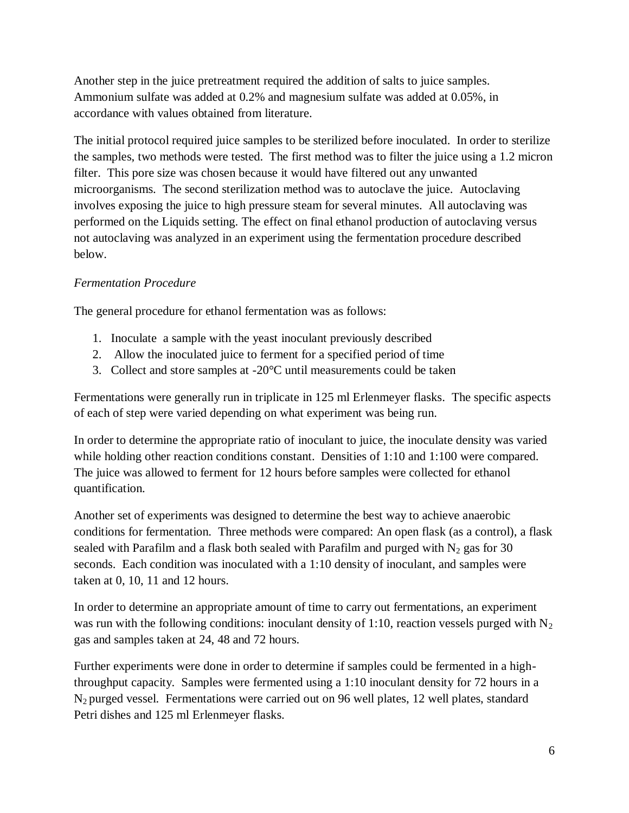Another step in the juice pretreatment required the addition of salts to juice samples. Ammonium sulfate was added at 0.2% and magnesium sulfate was added at 0.05%, in accordance with values obtained from literature.

The initial protocol required juice samples to be sterilized before inoculated. In order to sterilize the samples, two methods were tested. The first method was to filter the juice using a 1.2 micron filter. This pore size was chosen because it would have filtered out any unwanted microorganisms. The second sterilization method was to autoclave the juice. Autoclaving involves exposing the juice to high pressure steam for several minutes. All autoclaving was performed on the Liquids setting. The effect on final ethanol production of autoclaving versus not autoclaving was analyzed in an experiment using the fermentation procedure described below.

## <span id="page-9-0"></span>*Fermentation Procedure*

The general procedure for ethanol fermentation was as follows:

- 1. Inoculate a sample with the yeast inoculant previously described
- 2. Allow the inoculated juice to ferment for a specified period of time
- 3. Collect and store samples at -20°C until measurements could be taken

Fermentations were generally run in triplicate in 125 ml Erlenmeyer flasks. The specific aspects of each of step were varied depending on what experiment was being run.

In order to determine the appropriate ratio of inoculant to juice, the inoculate density was varied while holding other reaction conditions constant. Densities of 1:10 and 1:100 were compared. The juice was allowed to ferment for 12 hours before samples were collected for ethanol quantification.

Another set of experiments was designed to determine the best way to achieve anaerobic conditions for fermentation. Three methods were compared: An open flask (as a control), a flask sealed with Parafilm and a flask both sealed with Parafilm and purged with  $N_2$  gas for 30 seconds. Each condition was inoculated with a 1:10 density of inoculant, and samples were taken at 0, 10, 11 and 12 hours.

In order to determine an appropriate amount of time to carry out fermentations, an experiment was run with the following conditions: inoculant density of 1:10, reaction vessels purged with  $N_2$ gas and samples taken at 24, 48 and 72 hours.

Further experiments were done in order to determine if samples could be fermented in a highthroughput capacity. Samples were fermented using a 1:10 inoculant density for 72 hours in a N2 purged vessel. Fermentations were carried out on 96 well plates, 12 well plates, standard Petri dishes and 125 ml Erlenmeyer flasks.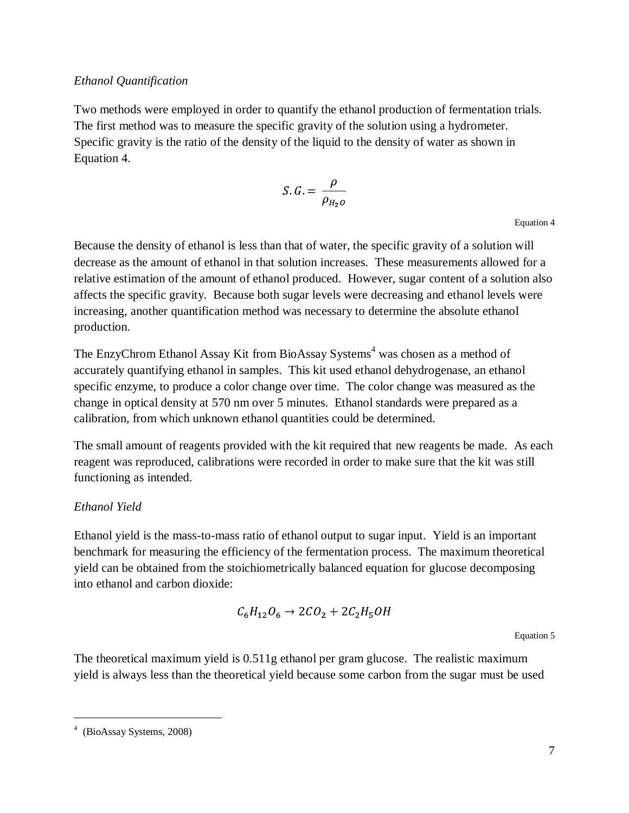#### <span id="page-10-0"></span>*Ethanol Quantification*

Two methods were employed in order to quantify the ethanol production of fermentation trials. The first method was to measure the specific gravity of the solution using a hydrometer. Specific gravity is the ratio of the density of the liquid to the density of water as shown in [Equation 4.](#page-10-2)

$$
S \cdot G = \frac{\rho}{\rho_{H_2 o}}
$$

<span id="page-10-2"></span>Equation 4

Because the density of ethanol is less than that of water, the specific gravity of a solution will decrease as the amount of ethanol in that solution increases. These measurements allowed for a relative estimation of the amount of ethanol produced. However, sugar content of a solution also affects the specific gravity. Because both sugar levels were decreasing and ethanol levels were increasing, another quantification method was necessary to determine the absolute ethanol production.

The EnzyChrom Ethanol Assay Kit from BioAssay Systems<sup>4</sup> was chosen as a method of accurately quantifying ethanol in samples. This kit used ethanol dehydrogenase, an ethanol specific enzyme, to produce a color change over time. The color change was measured as the change in optical density at 570 nm over 5 minutes. Ethanol standards were prepared as a calibration, from which unknown ethanol quantities could be determined.

The small amount of reagents provided with the kit required that new reagents be made. As each reagent was reproduced, calibrations were recorded in order to make sure that the kit was still functioning as intended.

## <span id="page-10-1"></span>*Ethanol Yield*

Ethanol yield is the mass-to-mass ratio of ethanol output to sugar input. Yield is an important benchmark for measuring the efficiency of the fermentation process. The maximum theoretical yield can be obtained from the stoichiometrically balanced equation for glucose decomposing into ethanol and carbon dioxide:

$$
C_6H_{12}O_6 \rightarrow 2CO_2 + 2C_2H_5OH
$$

Equation 5

The theoretical maximum yield is 0.511g ethanol per gram glucose. The realistic maximum yield is always less than the theoretical yield because some carbon from the sugar must be used

 $\overline{a}$ 

<sup>4</sup> (BioAssay Systems, 2008)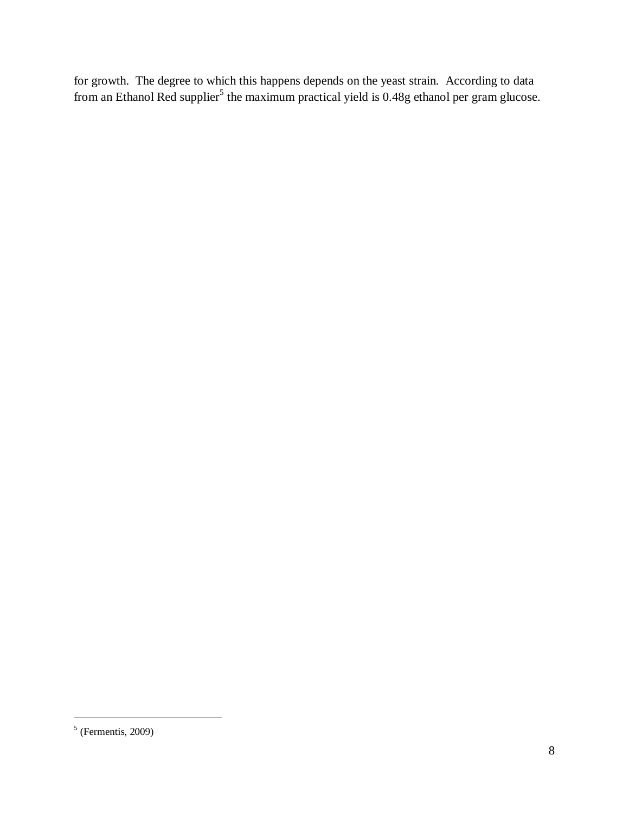for growth. The degree to which this happens depends on the yeast strain. According to data from an Ethanol Red supplier<sup>5</sup> the maximum practical yield is 0.48g ethanol per gram glucose.

 $\overline{a}$ 

 $<sup>5</sup>$  (Fermentis, 2009)</sup>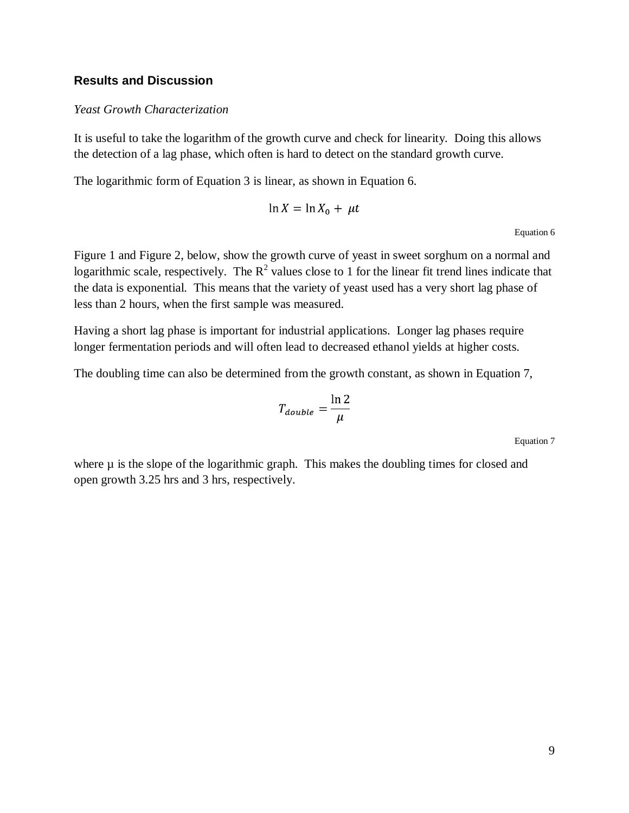#### <span id="page-12-0"></span>**Results and Discussion**

#### <span id="page-12-1"></span>*Yeast Growth Characterization*

It is useful to take the logarithm of the growth curve and check for linearity. Doing this allows the detection of a lag phase, which often is hard to detect on the standard growth curve.

The logarithmic form of [Equation 3](#page-8-3) is linear, as shown in [Equation 6.](#page-12-2)

$$
\ln X = \ln X_0 + \mu t
$$

Equation 6

<span id="page-12-2"></span>[Figure 1](#page-13-1) and [Figure 2,](#page-13-2) below, show the growth curve of yeast in sweet sorghum on a normal and logarithmic scale, respectively. The  $R^2$  values close to 1 for the linear fit trend lines indicate that the data is exponential. This means that the variety of yeast used has a very short lag phase of less than 2 hours, when the first sample was measured.

Having a short lag phase is important for industrial applications. Longer lag phases require longer fermentation periods and will often lead to decreased ethanol yields at higher costs.

The doubling time can also be determined from the growth constant, as shown in [Equation 7,](#page-12-3)

$$
T_{double} = \frac{\ln 2}{\mu}
$$

Equation 7

<span id="page-12-3"></span>where  $\mu$  is the slope of the logarithmic graph. This makes the doubling times for closed and open growth 3.25 hrs and 3 hrs, respectively.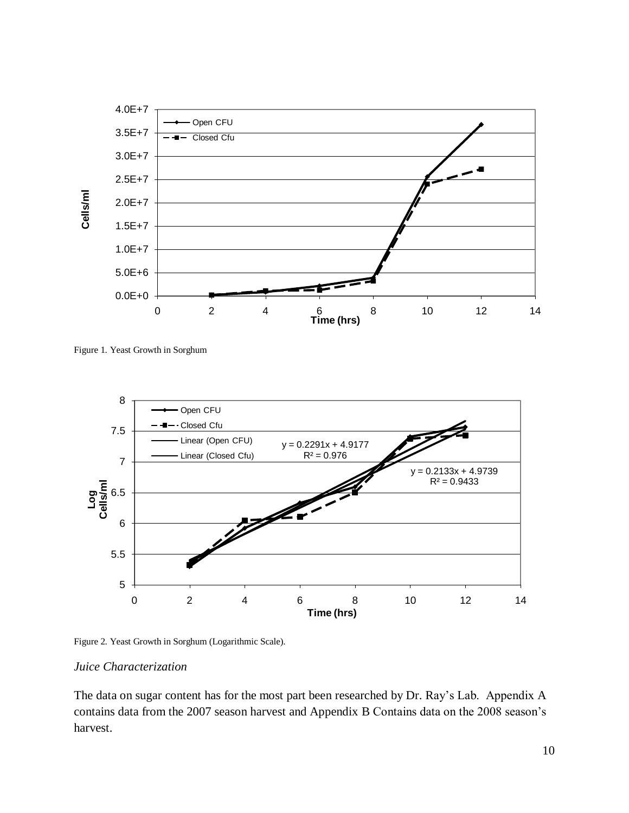

<span id="page-13-1"></span>Figure 1. Yeast Growth in Sorghum



<span id="page-13-2"></span>Figure 2. Yeast Growth in Sorghum (Logarithmic Scale).

#### <span id="page-13-0"></span>*Juice Characterization*

The data on sugar content has for the most part been researched by Dr. Ray's Lab. Appendix A contains data from the 2007 season harvest and Appendix B Contains data on the 2008 season's harvest.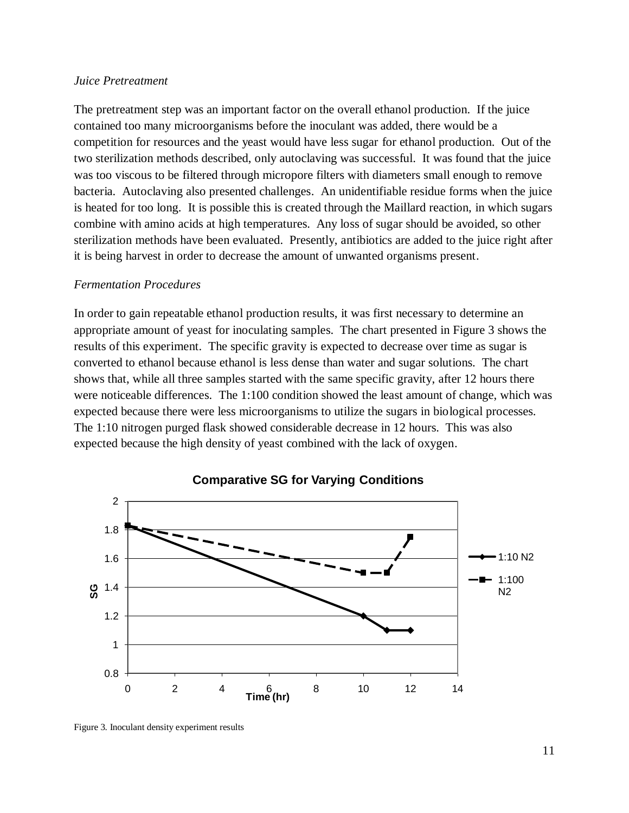#### <span id="page-14-0"></span>*Juice Pretreatment*

The pretreatment step was an important factor on the overall ethanol production. If the juice contained too many microorganisms before the inoculant was added, there would be a competition for resources and the yeast would have less sugar for ethanol production. Out of the two sterilization methods described, only autoclaving was successful. It was found that the juice was too viscous to be filtered through micropore filters with diameters small enough to remove bacteria. Autoclaving also presented challenges. An unidentifiable residue forms when the juice is heated for too long. It is possible this is created through the Maillard reaction, in which sugars combine with amino acids at high temperatures. Any loss of sugar should be avoided, so other sterilization methods have been evaluated. Presently, antibiotics are added to the juice right after it is being harvest in order to decrease the amount of unwanted organisms present.

#### <span id="page-14-1"></span>*Fermentation Procedures*

In order to gain repeatable ethanol production results, it was first necessary to determine an appropriate amount of yeast for inoculating samples. The chart presented in [Figure 3](#page-14-2) shows the results of this experiment. The specific gravity is expected to decrease over time as sugar is converted to ethanol because ethanol is less dense than water and sugar solutions. The chart shows that, while all three samples started with the same specific gravity, after 12 hours there were noticeable differences. The 1:100 condition showed the least amount of change, which was expected because there were less microorganisms to utilize the sugars in biological processes. The 1:10 nitrogen purged flask showed considerable decrease in 12 hours. This was also expected because the high density of yeast combined with the lack of oxygen.



#### **Comparative SG for Varying Conditions**

<span id="page-14-2"></span>Figure 3. Inoculant density experiment results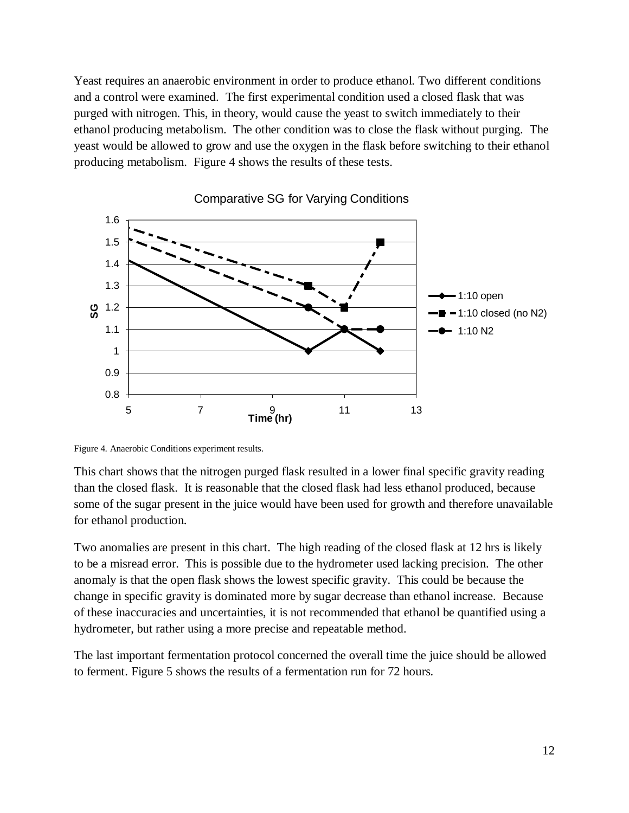Yeast requires an anaerobic environment in order to produce ethanol. Two different conditions and a control were examined. The first experimental condition used a closed flask that was purged with nitrogen. This, in theory, would cause the yeast to switch immediately to their ethanol producing metabolism. The other condition was to close the flask without purging. The yeast would be allowed to grow and use the oxygen in the flask before switching to their ethanol producing metabolism. [Figure 4](#page-15-0) shows the results of these tests.



Comparative SG for Varying Conditions

<span id="page-15-0"></span>Figure 4. Anaerobic Conditions experiment results.

This chart shows that the nitrogen purged flask resulted in a lower final specific gravity reading than the closed flask. It is reasonable that the closed flask had less ethanol produced, because some of the sugar present in the juice would have been used for growth and therefore unavailable for ethanol production.

Two anomalies are present in this chart. The high reading of the closed flask at 12 hrs is likely to be a misread error. This is possible due to the hydrometer used lacking precision. The other anomaly is that the open flask shows the lowest specific gravity. This could be because the change in specific gravity is dominated more by sugar decrease than ethanol increase. Because of these inaccuracies and uncertainties, it is not recommended that ethanol be quantified using a hydrometer, but rather using a more precise and repeatable method.

The last important fermentation protocol concerned the overall time the juice should be allowed to ferment. [Figure 5](#page-16-1) shows the results of a fermentation run for 72 hours.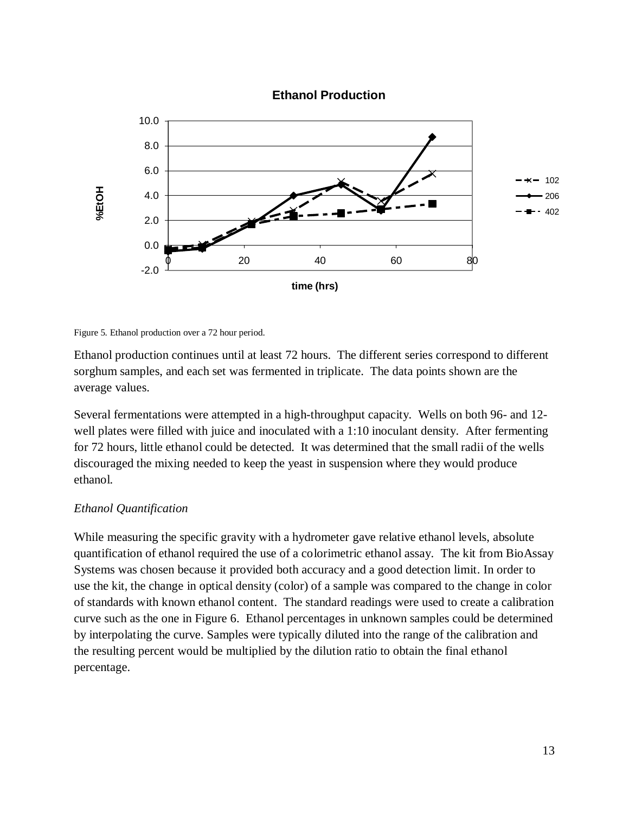

#### **Ethanol Production**

<span id="page-16-1"></span>Figure 5. Ethanol production over a 72 hour period.

Ethanol production continues until at least 72 hours. The different series correspond to different sorghum samples, and each set was fermented in triplicate. The data points shown are the average values.

Several fermentations were attempted in a high-throughput capacity. Wells on both 96- and 12 well plates were filled with juice and inoculated with a 1:10 inoculant density. After fermenting for 72 hours, little ethanol could be detected. It was determined that the small radii of the wells discouraged the mixing needed to keep the yeast in suspension where they would produce ethanol.

#### <span id="page-16-0"></span>*Ethanol Quantification*

While measuring the specific gravity with a hydrometer gave relative ethanol levels, absolute quantification of ethanol required the use of a colorimetric ethanol assay. The kit from BioAssay Systems was chosen because it provided both accuracy and a good detection limit. In order to use the kit, the change in optical density (color) of a sample was compared to the change in color of standards with known ethanol content. The standard readings were used to create a calibration curve such as the one in [Figure 6.](#page-17-0) Ethanol percentages in unknown samples could be determined by interpolating the curve. Samples were typically diluted into the range of the calibration and the resulting percent would be multiplied by the dilution ratio to obtain the final ethanol percentage.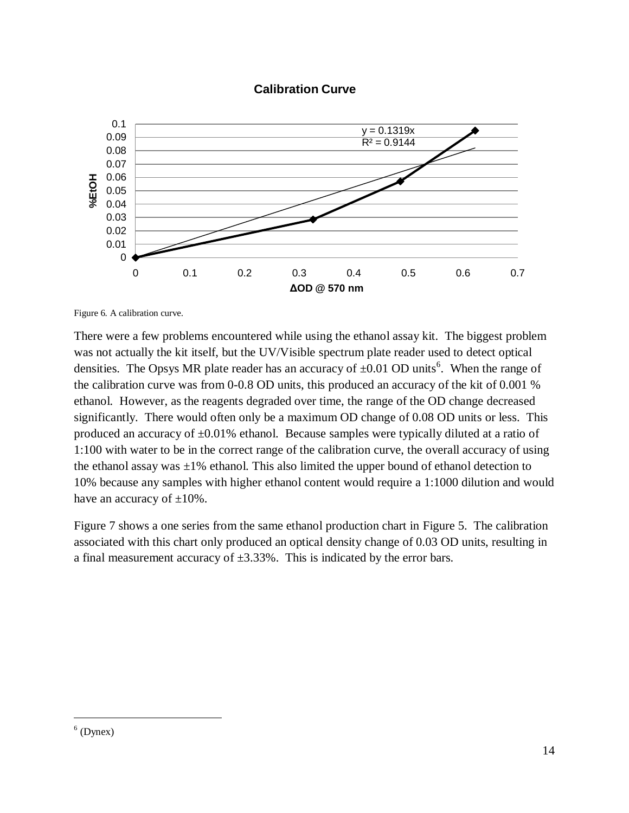#### **Calibration Curve**



<span id="page-17-0"></span>Figure 6. A calibration curve.

There were a few problems encountered while using the ethanol assay kit. The biggest problem was not actually the kit itself, but the UV/Visible spectrum plate reader used to detect optical densities. The Opsys MR plate reader has an accuracy of  $\pm 0.01$  OD units<sup>6</sup>. When the range of the calibration curve was from 0-0.8 OD units, this produced an accuracy of the kit of 0.001 % ethanol. However, as the reagents degraded over time, the range of the OD change decreased significantly. There would often only be a maximum OD change of 0.08 OD units or less. This produced an accuracy of  $\pm 0.01\%$  ethanol. Because samples were typically diluted at a ratio of 1:100 with water to be in the correct range of the calibration curve, the overall accuracy of using the ethanol assay was  $\pm 1\%$  ethanol. This also limited the upper bound of ethanol detection to 10% because any samples with higher ethanol content would require a 1:1000 dilution and would have an accuracy of  $\pm 10\%$ .

[Figure 7](#page-18-1) shows a one series from the same ethanol production chart in [Figure 5.](#page-16-1) The calibration associated with this chart only produced an optical density change of 0.03 OD units, resulting in a final measurement accuracy of  $\pm 3.33\%$ . This is indicated by the error bars.

 $\overline{a}$ 

 $<sup>6</sup>$  (Dynex)</sup>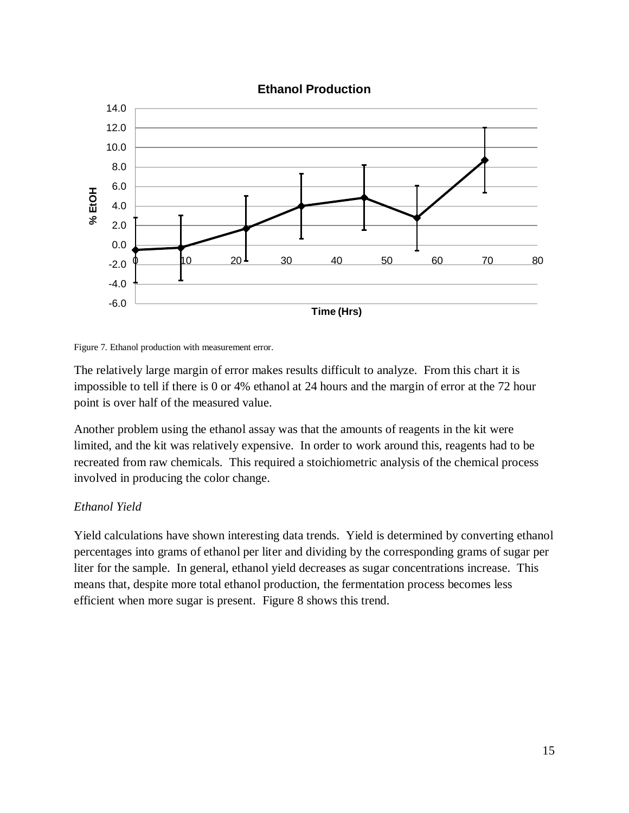

#### **Ethanol Production**

The relatively large margin of error makes results difficult to analyze. From this chart it is impossible to tell if there is 0 or 4% ethanol at 24 hours and the margin of error at the 72 hour point is over half of the measured value.

Another problem using the ethanol assay was that the amounts of reagents in the kit were limited, and the kit was relatively expensive. In order to work around this, reagents had to be recreated from raw chemicals. This required a stoichiometric analysis of the chemical process involved in producing the color change.

## <span id="page-18-0"></span>*Ethanol Yield*

Yield calculations have shown interesting data trends. Yield is determined by converting ethanol percentages into grams of ethanol per liter and dividing by the corresponding grams of sugar per liter for the sample. In general, ethanol yield decreases as sugar concentrations increase. This means that, despite more total ethanol production, the fermentation process becomes less efficient when more sugar is present. [Figure 8](#page-19-0) shows this trend.

<span id="page-18-1"></span>Figure 7. Ethanol production with measurement error.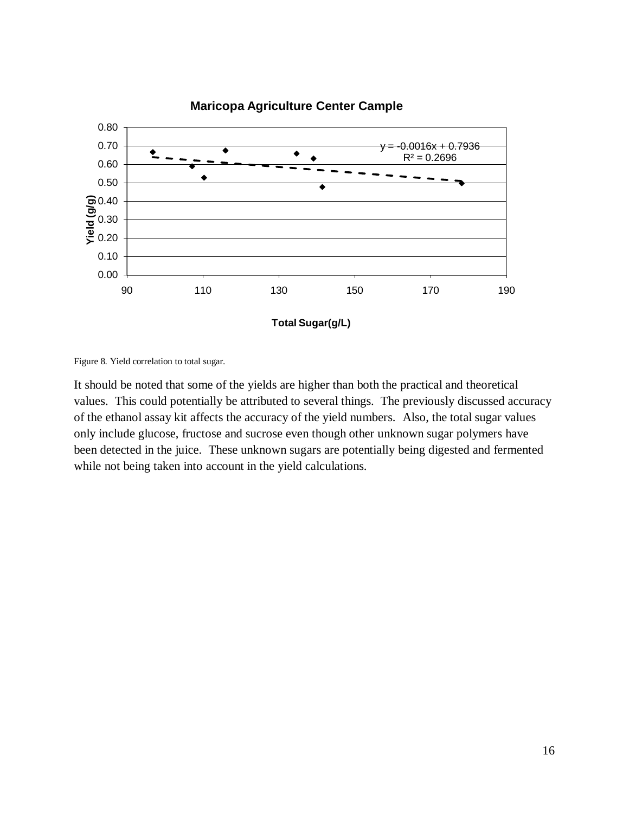

<span id="page-19-0"></span>Figure 8. Yield correlation to total sugar.

It should be noted that some of the yields are higher than both the practical and theoretical values. This could potentially be attributed to several things. The previously discussed accuracy of the ethanol assay kit affects the accuracy of the yield numbers. Also, the total sugar values only include glucose, fructose and sucrose even though other unknown sugar polymers have been detected in the juice. These unknown sugars are potentially being digested and fermented while not being taken into account in the yield calculations.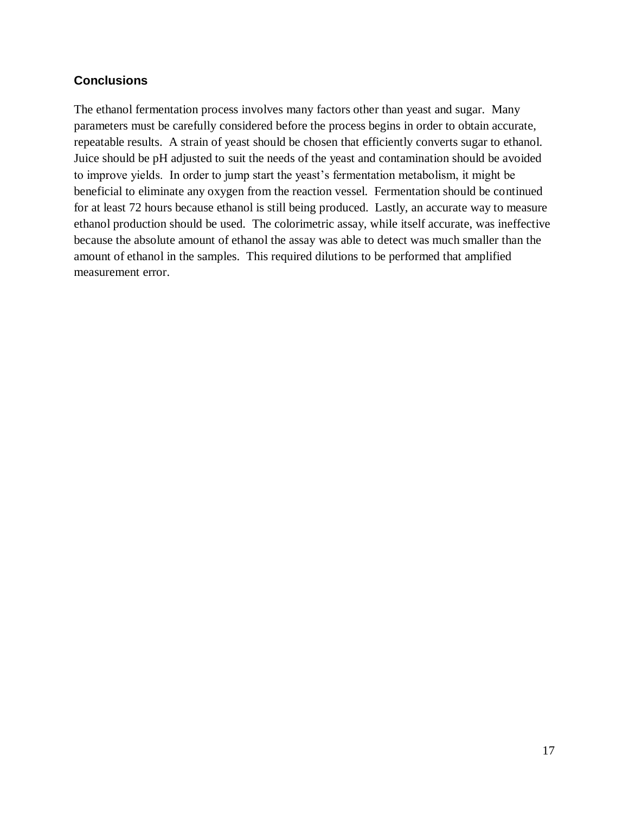## <span id="page-20-0"></span>**Conclusions**

The ethanol fermentation process involves many factors other than yeast and sugar. Many parameters must be carefully considered before the process begins in order to obtain accurate, repeatable results. A strain of yeast should be chosen that efficiently converts sugar to ethanol. Juice should be pH adjusted to suit the needs of the yeast and contamination should be avoided to improve yields. In order to jump start the yeast's fermentation metabolism, it might be beneficial to eliminate any oxygen from the reaction vessel. Fermentation should be continued for at least 72 hours because ethanol is still being produced. Lastly, an accurate way to measure ethanol production should be used. The colorimetric assay, while itself accurate, was ineffective because the absolute amount of ethanol the assay was able to detect was much smaller than the amount of ethanol in the samples. This required dilutions to be performed that amplified measurement error.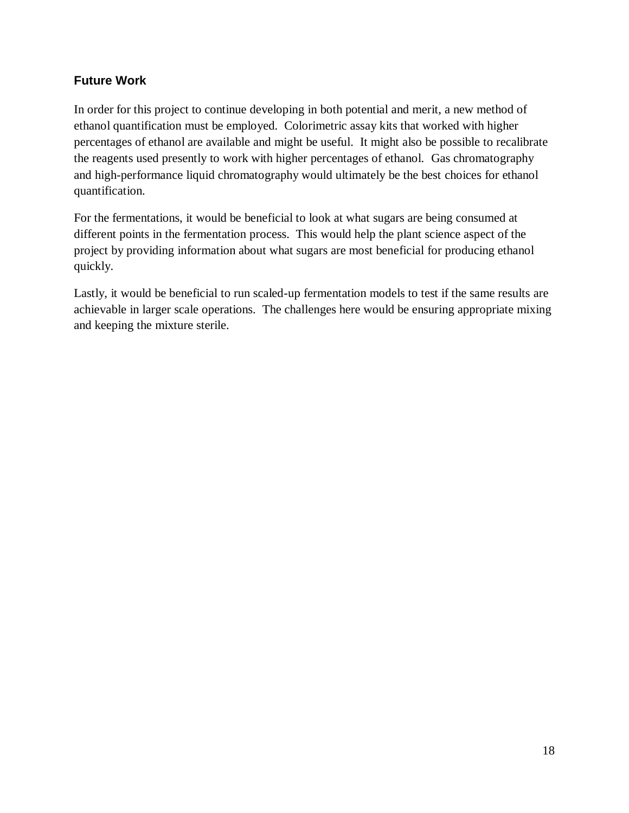## <span id="page-21-0"></span>**Future Work**

In order for this project to continue developing in both potential and merit, a new method of ethanol quantification must be employed. Colorimetric assay kits that worked with higher percentages of ethanol are available and might be useful. It might also be possible to recalibrate the reagents used presently to work with higher percentages of ethanol. Gas chromatography and high-performance liquid chromatography would ultimately be the best choices for ethanol quantification.

For the fermentations, it would be beneficial to look at what sugars are being consumed at different points in the fermentation process. This would help the plant science aspect of the project by providing information about what sugars are most beneficial for producing ethanol quickly.

Lastly, it would be beneficial to run scaled-up fermentation models to test if the same results are achievable in larger scale operations. The challenges here would be ensuring appropriate mixing and keeping the mixture sterile.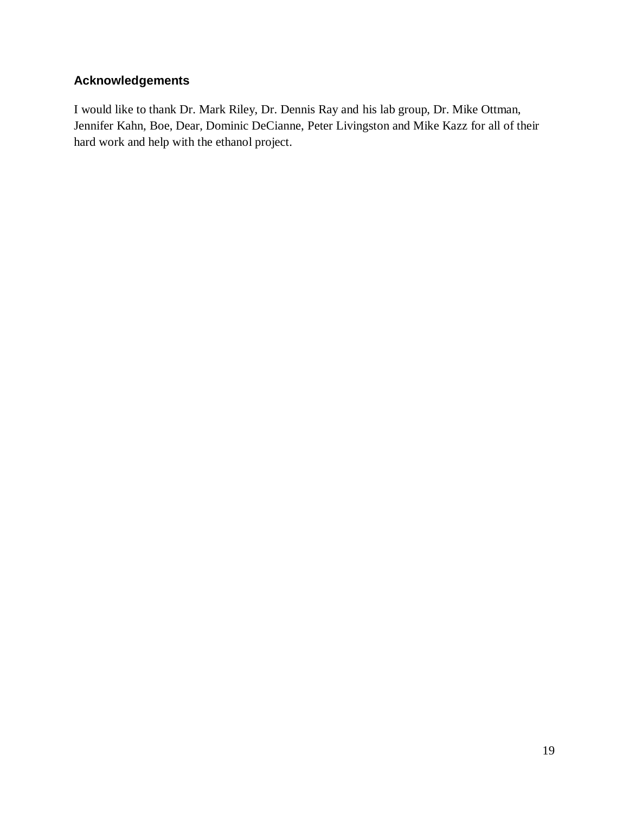## <span id="page-22-0"></span>**Acknowledgements**

I would like to thank Dr. Mark Riley, Dr. Dennis Ray and his lab group, Dr. Mike Ottman, Jennifer Kahn, Boe, Dear, Dominic DeCianne, Peter Livingston and Mike Kazz for all of their hard work and help with the ethanol project.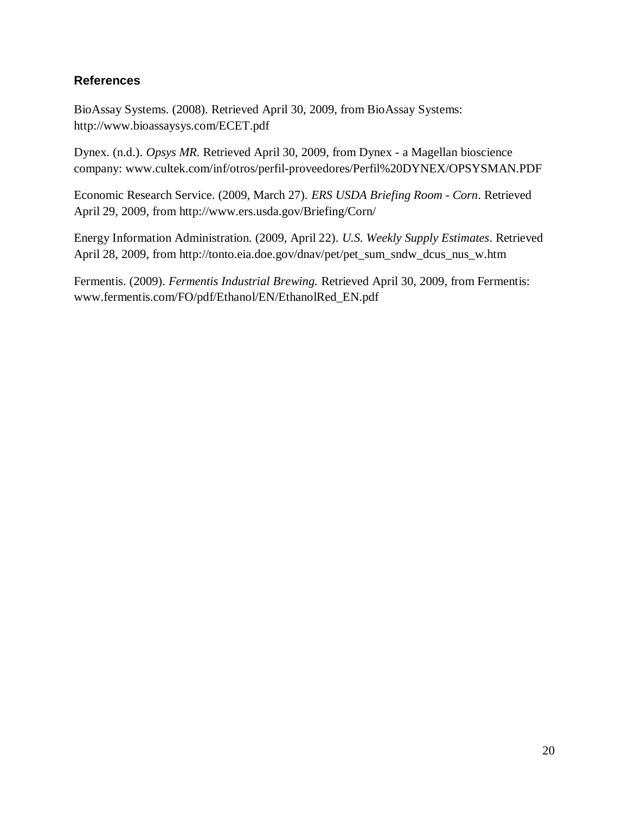## <span id="page-23-0"></span>**References**

BioAssay Systems. (2008). Retrieved April 30, 2009, from BioAssay Systems: http://www.bioassaysys.com/ECET.pdf

Dynex. (n.d.). *Opsys MR.* Retrieved April 30, 2009, from Dynex - a Magellan bioscience company: www.cultek.com/inf/otros/perfil-proveedores/Perfil%20DYNEX/OPSYSMAN.PDF

Economic Research Service. (2009, March 27). *ERS USDA Briefing Room - Corn*. Retrieved April 29, 2009, from http://www.ers.usda.gov/Briefing/Corn/

Energy Information Administration. (2009, April 22). *U.S. Weekly Supply Estimates*. Retrieved April 28, 2009, from http://tonto.eia.doe.gov/dnav/pet/pet\_sum\_sndw\_dcus\_nus\_w.htm

Fermentis. (2009). *Fermentis Industrial Brewing.* Retrieved April 30, 2009, from Fermentis: www.fermentis.com/FO/pdf/Ethanol/EN/EthanolRed\_EN.pdf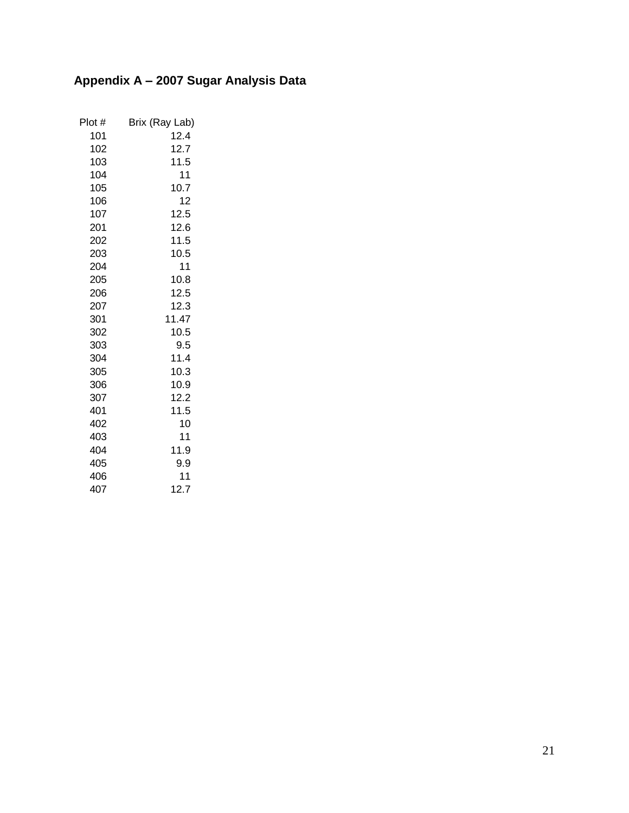## <span id="page-24-0"></span>**Appendix A – 2007 Sugar Analysis Data**

| Plot # | Brix (Ray Lab) |
|--------|----------------|
| 101    | 12.4           |
| 102    | 12.7           |
| 103    | 11.5           |
| 104    | 11             |
| 105    | 10.7           |
| 106    | 12             |
| 107    | 12.5           |
| 201    | 12.6           |
| 202    | 11.5           |
| 203    | 10.5           |
| 204    | 11             |
| 205    | 10.8           |
| 206    | 12.5           |
| 207    | 12.3           |
| 301    | 11.47          |
| 302    | 10.5           |
| 303    | 9.5            |
| 304    | 11.4           |
| 305    | 10.3           |
| 306    | 10.9           |
| 307    | 12.2           |
| 401    | 11.5           |
| 402    | 10             |
| 403    | 11             |
| 404    | 11.9           |
| 405    | 9.9            |
| 406    | 11             |
| 407    | 12.7           |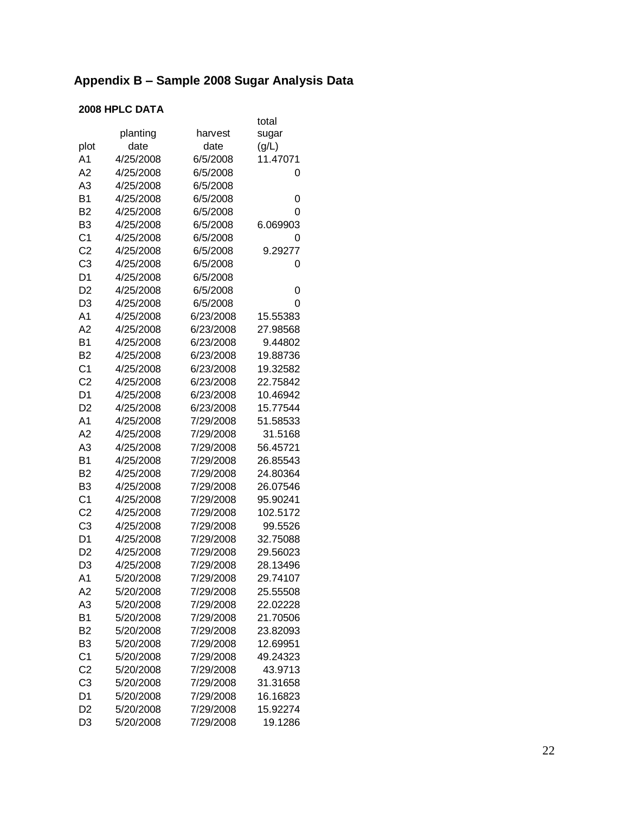#### <span id="page-25-0"></span>Appendix B – Sample 2008 Sugar Analysis Data

## **2008 HPLC DATA**

| planting<br>harvest<br>sugar<br>plot<br>date<br>(g/L)<br>date<br>A1<br>4/25/2008<br>6/5/2008<br>11.47071<br>A2<br>4/25/2008<br>6/5/2008<br>0<br>A3<br>4/25/2008<br>6/5/2008<br><b>B1</b><br>4/25/2008<br>6/5/2008<br>0<br>B <sub>2</sub><br>4/25/2008<br>6/5/2008<br>0<br>B3<br>6.069903<br>4/25/2008<br>6/5/2008<br>C <sub>1</sub><br>4/25/2008<br>6/5/2008<br>0<br>C <sub>2</sub><br>4/25/2008<br>6/5/2008<br>9.29277<br>C <sub>3</sub><br>4/25/2008<br>6/5/2008<br>0<br>D1<br>4/25/2008<br>6/5/2008<br>D <sub>2</sub><br>4/25/2008<br>6/5/2008<br>0<br>D3<br>4/25/2008<br>6/5/2008<br>0<br>A <sub>1</sub><br>4/25/2008<br>6/23/2008<br>15.55383<br>A <sub>2</sub><br>4/25/2008<br>6/23/2008<br>27.98568<br>B1<br>9.44802<br>4/25/2008<br>6/23/2008<br>B2<br>4/25/2008<br>6/23/2008<br>19.88736<br>C <sub>1</sub><br>4/25/2008<br>19.32582<br>6/23/2008<br>C <sub>2</sub><br>4/25/2008<br>6/23/2008<br>22.75842<br>D <sub>1</sub><br>4/25/2008<br>6/23/2008<br>10.46942<br>D <sub>2</sub><br>15.77544<br>4/25/2008<br>6/23/2008<br>A1<br>4/25/2008<br>7/29/2008<br>51.58533<br>A2<br>4/25/2008<br>7/29/2008<br>31.5168<br>A3<br>4/25/2008<br>7/29/2008<br>56.45721<br>B1<br>4/25/2008<br>7/29/2008<br>26.85543<br>B2<br>4/25/2008<br>7/29/2008<br>24.80364<br>26.07546<br>B3<br>4/25/2008<br>7/29/2008<br>C <sub>1</sub><br>4/25/2008<br>7/29/2008<br>95.90241<br>C <sub>2</sub><br>102.5172<br>4/25/2008<br>7/29/2008<br>C <sub>3</sub><br>4/25/2008<br>7/29/2008<br>99.5526<br>D <sub>1</sub><br>4/25/2008<br>32.75088<br>7/29/2008<br>D <sub>2</sub><br>4/25/2008<br>7/29/2008<br>29.56023<br>7/29/2008<br>D3<br>4/25/2008<br>28.13496<br>5/20/2008<br>7/29/2008<br>A1<br>29.74107<br>A2<br>5/20/2008<br>7/29/2008<br>25.55508<br>A3<br>5/20/2008<br>7/29/2008<br>22.02228<br><b>B1</b><br>21.70506<br>5/20/2008<br>7/29/2008<br>B <sub>2</sub><br>5/20/2008<br>7/29/2008<br>23.82093<br>B <sub>3</sub><br>5/20/2008<br>12.69951<br>7/29/2008<br>C <sub>1</sub><br>49.24323<br>5/20/2008<br>7/29/2008<br>C <sub>2</sub><br>5/20/2008<br>7/29/2008<br>43.9713<br>C <sub>3</sub><br>5/20/2008<br>7/29/2008<br>31.31658<br>D1<br>5/20/2008<br>7/29/2008<br>16.16823<br>D <sub>2</sub><br>5/20/2008<br>7/29/2008<br>15.92274 |                |           |           | total   |
|-------------------------------------------------------------------------------------------------------------------------------------------------------------------------------------------------------------------------------------------------------------------------------------------------------------------------------------------------------------------------------------------------------------------------------------------------------------------------------------------------------------------------------------------------------------------------------------------------------------------------------------------------------------------------------------------------------------------------------------------------------------------------------------------------------------------------------------------------------------------------------------------------------------------------------------------------------------------------------------------------------------------------------------------------------------------------------------------------------------------------------------------------------------------------------------------------------------------------------------------------------------------------------------------------------------------------------------------------------------------------------------------------------------------------------------------------------------------------------------------------------------------------------------------------------------------------------------------------------------------------------------------------------------------------------------------------------------------------------------------------------------------------------------------------------------------------------------------------------------------------------------------------------------------------------------------------------------------------------------------------------------------------------------------------------------------------------------------------------------------------------------------------------------------------------------------------------------------------------|----------------|-----------|-----------|---------|
|                                                                                                                                                                                                                                                                                                                                                                                                                                                                                                                                                                                                                                                                                                                                                                                                                                                                                                                                                                                                                                                                                                                                                                                                                                                                                                                                                                                                                                                                                                                                                                                                                                                                                                                                                                                                                                                                                                                                                                                                                                                                                                                                                                                                                               |                |           |           |         |
|                                                                                                                                                                                                                                                                                                                                                                                                                                                                                                                                                                                                                                                                                                                                                                                                                                                                                                                                                                                                                                                                                                                                                                                                                                                                                                                                                                                                                                                                                                                                                                                                                                                                                                                                                                                                                                                                                                                                                                                                                                                                                                                                                                                                                               |                |           |           |         |
|                                                                                                                                                                                                                                                                                                                                                                                                                                                                                                                                                                                                                                                                                                                                                                                                                                                                                                                                                                                                                                                                                                                                                                                                                                                                                                                                                                                                                                                                                                                                                                                                                                                                                                                                                                                                                                                                                                                                                                                                                                                                                                                                                                                                                               |                |           |           |         |
|                                                                                                                                                                                                                                                                                                                                                                                                                                                                                                                                                                                                                                                                                                                                                                                                                                                                                                                                                                                                                                                                                                                                                                                                                                                                                                                                                                                                                                                                                                                                                                                                                                                                                                                                                                                                                                                                                                                                                                                                                                                                                                                                                                                                                               |                |           |           |         |
|                                                                                                                                                                                                                                                                                                                                                                                                                                                                                                                                                                                                                                                                                                                                                                                                                                                                                                                                                                                                                                                                                                                                                                                                                                                                                                                                                                                                                                                                                                                                                                                                                                                                                                                                                                                                                                                                                                                                                                                                                                                                                                                                                                                                                               |                |           |           |         |
|                                                                                                                                                                                                                                                                                                                                                                                                                                                                                                                                                                                                                                                                                                                                                                                                                                                                                                                                                                                                                                                                                                                                                                                                                                                                                                                                                                                                                                                                                                                                                                                                                                                                                                                                                                                                                                                                                                                                                                                                                                                                                                                                                                                                                               |                |           |           |         |
|                                                                                                                                                                                                                                                                                                                                                                                                                                                                                                                                                                                                                                                                                                                                                                                                                                                                                                                                                                                                                                                                                                                                                                                                                                                                                                                                                                                                                                                                                                                                                                                                                                                                                                                                                                                                                                                                                                                                                                                                                                                                                                                                                                                                                               |                |           |           |         |
|                                                                                                                                                                                                                                                                                                                                                                                                                                                                                                                                                                                                                                                                                                                                                                                                                                                                                                                                                                                                                                                                                                                                                                                                                                                                                                                                                                                                                                                                                                                                                                                                                                                                                                                                                                                                                                                                                                                                                                                                                                                                                                                                                                                                                               |                |           |           |         |
|                                                                                                                                                                                                                                                                                                                                                                                                                                                                                                                                                                                                                                                                                                                                                                                                                                                                                                                                                                                                                                                                                                                                                                                                                                                                                                                                                                                                                                                                                                                                                                                                                                                                                                                                                                                                                                                                                                                                                                                                                                                                                                                                                                                                                               |                |           |           |         |
|                                                                                                                                                                                                                                                                                                                                                                                                                                                                                                                                                                                                                                                                                                                                                                                                                                                                                                                                                                                                                                                                                                                                                                                                                                                                                                                                                                                                                                                                                                                                                                                                                                                                                                                                                                                                                                                                                                                                                                                                                                                                                                                                                                                                                               |                |           |           |         |
|                                                                                                                                                                                                                                                                                                                                                                                                                                                                                                                                                                                                                                                                                                                                                                                                                                                                                                                                                                                                                                                                                                                                                                                                                                                                                                                                                                                                                                                                                                                                                                                                                                                                                                                                                                                                                                                                                                                                                                                                                                                                                                                                                                                                                               |                |           |           |         |
|                                                                                                                                                                                                                                                                                                                                                                                                                                                                                                                                                                                                                                                                                                                                                                                                                                                                                                                                                                                                                                                                                                                                                                                                                                                                                                                                                                                                                                                                                                                                                                                                                                                                                                                                                                                                                                                                                                                                                                                                                                                                                                                                                                                                                               |                |           |           |         |
|                                                                                                                                                                                                                                                                                                                                                                                                                                                                                                                                                                                                                                                                                                                                                                                                                                                                                                                                                                                                                                                                                                                                                                                                                                                                                                                                                                                                                                                                                                                                                                                                                                                                                                                                                                                                                                                                                                                                                                                                                                                                                                                                                                                                                               |                |           |           |         |
|                                                                                                                                                                                                                                                                                                                                                                                                                                                                                                                                                                                                                                                                                                                                                                                                                                                                                                                                                                                                                                                                                                                                                                                                                                                                                                                                                                                                                                                                                                                                                                                                                                                                                                                                                                                                                                                                                                                                                                                                                                                                                                                                                                                                                               |                |           |           |         |
|                                                                                                                                                                                                                                                                                                                                                                                                                                                                                                                                                                                                                                                                                                                                                                                                                                                                                                                                                                                                                                                                                                                                                                                                                                                                                                                                                                                                                                                                                                                                                                                                                                                                                                                                                                                                                                                                                                                                                                                                                                                                                                                                                                                                                               |                |           |           |         |
|                                                                                                                                                                                                                                                                                                                                                                                                                                                                                                                                                                                                                                                                                                                                                                                                                                                                                                                                                                                                                                                                                                                                                                                                                                                                                                                                                                                                                                                                                                                                                                                                                                                                                                                                                                                                                                                                                                                                                                                                                                                                                                                                                                                                                               |                |           |           |         |
|                                                                                                                                                                                                                                                                                                                                                                                                                                                                                                                                                                                                                                                                                                                                                                                                                                                                                                                                                                                                                                                                                                                                                                                                                                                                                                                                                                                                                                                                                                                                                                                                                                                                                                                                                                                                                                                                                                                                                                                                                                                                                                                                                                                                                               |                |           |           |         |
|                                                                                                                                                                                                                                                                                                                                                                                                                                                                                                                                                                                                                                                                                                                                                                                                                                                                                                                                                                                                                                                                                                                                                                                                                                                                                                                                                                                                                                                                                                                                                                                                                                                                                                                                                                                                                                                                                                                                                                                                                                                                                                                                                                                                                               |                |           |           |         |
|                                                                                                                                                                                                                                                                                                                                                                                                                                                                                                                                                                                                                                                                                                                                                                                                                                                                                                                                                                                                                                                                                                                                                                                                                                                                                                                                                                                                                                                                                                                                                                                                                                                                                                                                                                                                                                                                                                                                                                                                                                                                                                                                                                                                                               |                |           |           |         |
|                                                                                                                                                                                                                                                                                                                                                                                                                                                                                                                                                                                                                                                                                                                                                                                                                                                                                                                                                                                                                                                                                                                                                                                                                                                                                                                                                                                                                                                                                                                                                                                                                                                                                                                                                                                                                                                                                                                                                                                                                                                                                                                                                                                                                               |                |           |           |         |
|                                                                                                                                                                                                                                                                                                                                                                                                                                                                                                                                                                                                                                                                                                                                                                                                                                                                                                                                                                                                                                                                                                                                                                                                                                                                                                                                                                                                                                                                                                                                                                                                                                                                                                                                                                                                                                                                                                                                                                                                                                                                                                                                                                                                                               |                |           |           |         |
|                                                                                                                                                                                                                                                                                                                                                                                                                                                                                                                                                                                                                                                                                                                                                                                                                                                                                                                                                                                                                                                                                                                                                                                                                                                                                                                                                                                                                                                                                                                                                                                                                                                                                                                                                                                                                                                                                                                                                                                                                                                                                                                                                                                                                               |                |           |           |         |
|                                                                                                                                                                                                                                                                                                                                                                                                                                                                                                                                                                                                                                                                                                                                                                                                                                                                                                                                                                                                                                                                                                                                                                                                                                                                                                                                                                                                                                                                                                                                                                                                                                                                                                                                                                                                                                                                                                                                                                                                                                                                                                                                                                                                                               |                |           |           |         |
|                                                                                                                                                                                                                                                                                                                                                                                                                                                                                                                                                                                                                                                                                                                                                                                                                                                                                                                                                                                                                                                                                                                                                                                                                                                                                                                                                                                                                                                                                                                                                                                                                                                                                                                                                                                                                                                                                                                                                                                                                                                                                                                                                                                                                               |                |           |           |         |
|                                                                                                                                                                                                                                                                                                                                                                                                                                                                                                                                                                                                                                                                                                                                                                                                                                                                                                                                                                                                                                                                                                                                                                                                                                                                                                                                                                                                                                                                                                                                                                                                                                                                                                                                                                                                                                                                                                                                                                                                                                                                                                                                                                                                                               |                |           |           |         |
|                                                                                                                                                                                                                                                                                                                                                                                                                                                                                                                                                                                                                                                                                                                                                                                                                                                                                                                                                                                                                                                                                                                                                                                                                                                                                                                                                                                                                                                                                                                                                                                                                                                                                                                                                                                                                                                                                                                                                                                                                                                                                                                                                                                                                               |                |           |           |         |
|                                                                                                                                                                                                                                                                                                                                                                                                                                                                                                                                                                                                                                                                                                                                                                                                                                                                                                                                                                                                                                                                                                                                                                                                                                                                                                                                                                                                                                                                                                                                                                                                                                                                                                                                                                                                                                                                                                                                                                                                                                                                                                                                                                                                                               |                |           |           |         |
|                                                                                                                                                                                                                                                                                                                                                                                                                                                                                                                                                                                                                                                                                                                                                                                                                                                                                                                                                                                                                                                                                                                                                                                                                                                                                                                                                                                                                                                                                                                                                                                                                                                                                                                                                                                                                                                                                                                                                                                                                                                                                                                                                                                                                               |                |           |           |         |
|                                                                                                                                                                                                                                                                                                                                                                                                                                                                                                                                                                                                                                                                                                                                                                                                                                                                                                                                                                                                                                                                                                                                                                                                                                                                                                                                                                                                                                                                                                                                                                                                                                                                                                                                                                                                                                                                                                                                                                                                                                                                                                                                                                                                                               |                |           |           |         |
|                                                                                                                                                                                                                                                                                                                                                                                                                                                                                                                                                                                                                                                                                                                                                                                                                                                                                                                                                                                                                                                                                                                                                                                                                                                                                                                                                                                                                                                                                                                                                                                                                                                                                                                                                                                                                                                                                                                                                                                                                                                                                                                                                                                                                               |                |           |           |         |
|                                                                                                                                                                                                                                                                                                                                                                                                                                                                                                                                                                                                                                                                                                                                                                                                                                                                                                                                                                                                                                                                                                                                                                                                                                                                                                                                                                                                                                                                                                                                                                                                                                                                                                                                                                                                                                                                                                                                                                                                                                                                                                                                                                                                                               |                |           |           |         |
|                                                                                                                                                                                                                                                                                                                                                                                                                                                                                                                                                                                                                                                                                                                                                                                                                                                                                                                                                                                                                                                                                                                                                                                                                                                                                                                                                                                                                                                                                                                                                                                                                                                                                                                                                                                                                                                                                                                                                                                                                                                                                                                                                                                                                               |                |           |           |         |
|                                                                                                                                                                                                                                                                                                                                                                                                                                                                                                                                                                                                                                                                                                                                                                                                                                                                                                                                                                                                                                                                                                                                                                                                                                                                                                                                                                                                                                                                                                                                                                                                                                                                                                                                                                                                                                                                                                                                                                                                                                                                                                                                                                                                                               |                |           |           |         |
|                                                                                                                                                                                                                                                                                                                                                                                                                                                                                                                                                                                                                                                                                                                                                                                                                                                                                                                                                                                                                                                                                                                                                                                                                                                                                                                                                                                                                                                                                                                                                                                                                                                                                                                                                                                                                                                                                                                                                                                                                                                                                                                                                                                                                               |                |           |           |         |
|                                                                                                                                                                                                                                                                                                                                                                                                                                                                                                                                                                                                                                                                                                                                                                                                                                                                                                                                                                                                                                                                                                                                                                                                                                                                                                                                                                                                                                                                                                                                                                                                                                                                                                                                                                                                                                                                                                                                                                                                                                                                                                                                                                                                                               |                |           |           |         |
|                                                                                                                                                                                                                                                                                                                                                                                                                                                                                                                                                                                                                                                                                                                                                                                                                                                                                                                                                                                                                                                                                                                                                                                                                                                                                                                                                                                                                                                                                                                                                                                                                                                                                                                                                                                                                                                                                                                                                                                                                                                                                                                                                                                                                               |                |           |           |         |
|                                                                                                                                                                                                                                                                                                                                                                                                                                                                                                                                                                                                                                                                                                                                                                                                                                                                                                                                                                                                                                                                                                                                                                                                                                                                                                                                                                                                                                                                                                                                                                                                                                                                                                                                                                                                                                                                                                                                                                                                                                                                                                                                                                                                                               |                |           |           |         |
|                                                                                                                                                                                                                                                                                                                                                                                                                                                                                                                                                                                                                                                                                                                                                                                                                                                                                                                                                                                                                                                                                                                                                                                                                                                                                                                                                                                                                                                                                                                                                                                                                                                                                                                                                                                                                                                                                                                                                                                                                                                                                                                                                                                                                               |                |           |           |         |
|                                                                                                                                                                                                                                                                                                                                                                                                                                                                                                                                                                                                                                                                                                                                                                                                                                                                                                                                                                                                                                                                                                                                                                                                                                                                                                                                                                                                                                                                                                                                                                                                                                                                                                                                                                                                                                                                                                                                                                                                                                                                                                                                                                                                                               |                |           |           |         |
|                                                                                                                                                                                                                                                                                                                                                                                                                                                                                                                                                                                                                                                                                                                                                                                                                                                                                                                                                                                                                                                                                                                                                                                                                                                                                                                                                                                                                                                                                                                                                                                                                                                                                                                                                                                                                                                                                                                                                                                                                                                                                                                                                                                                                               |                |           |           |         |
|                                                                                                                                                                                                                                                                                                                                                                                                                                                                                                                                                                                                                                                                                                                                                                                                                                                                                                                                                                                                                                                                                                                                                                                                                                                                                                                                                                                                                                                                                                                                                                                                                                                                                                                                                                                                                                                                                                                                                                                                                                                                                                                                                                                                                               |                |           |           |         |
|                                                                                                                                                                                                                                                                                                                                                                                                                                                                                                                                                                                                                                                                                                                                                                                                                                                                                                                                                                                                                                                                                                                                                                                                                                                                                                                                                                                                                                                                                                                                                                                                                                                                                                                                                                                                                                                                                                                                                                                                                                                                                                                                                                                                                               |                |           |           |         |
|                                                                                                                                                                                                                                                                                                                                                                                                                                                                                                                                                                                                                                                                                                                                                                                                                                                                                                                                                                                                                                                                                                                                                                                                                                                                                                                                                                                                                                                                                                                                                                                                                                                                                                                                                                                                                                                                                                                                                                                                                                                                                                                                                                                                                               |                |           |           |         |
|                                                                                                                                                                                                                                                                                                                                                                                                                                                                                                                                                                                                                                                                                                                                                                                                                                                                                                                                                                                                                                                                                                                                                                                                                                                                                                                                                                                                                                                                                                                                                                                                                                                                                                                                                                                                                                                                                                                                                                                                                                                                                                                                                                                                                               |                |           |           |         |
|                                                                                                                                                                                                                                                                                                                                                                                                                                                                                                                                                                                                                                                                                                                                                                                                                                                                                                                                                                                                                                                                                                                                                                                                                                                                                                                                                                                                                                                                                                                                                                                                                                                                                                                                                                                                                                                                                                                                                                                                                                                                                                                                                                                                                               |                |           |           |         |
|                                                                                                                                                                                                                                                                                                                                                                                                                                                                                                                                                                                                                                                                                                                                                                                                                                                                                                                                                                                                                                                                                                                                                                                                                                                                                                                                                                                                                                                                                                                                                                                                                                                                                                                                                                                                                                                                                                                                                                                                                                                                                                                                                                                                                               | D <sub>3</sub> | 5/20/2008 | 7/29/2008 | 19.1286 |